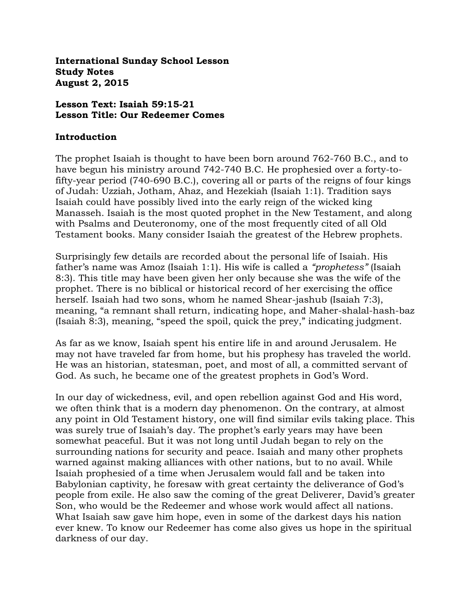**International Sunday School Lesson Study Notes August 2, 2015**

#### **Lesson Text: Isaiah 59:15-21 Lesson Title: Our Redeemer Comes**

#### **Introduction**

The prophet Isaiah is thought to have been born around 762-760 B.C., and to have begun his ministry around 742-740 B.C. He prophesied over a forty-tofifty-year period (740-690 B.C.), covering all or parts of the reigns of four kings of Judah: Uzziah, Jotham, Ahaz, and Hezekiah (Isaiah 1:1). Tradition says Isaiah could have possibly lived into the early reign of the wicked king Manasseh. Isaiah is the most quoted prophet in the New Testament, and along with Psalms and Deuteronomy, one of the most frequently cited of all Old Testament books. Many consider Isaiah the greatest of the Hebrew prophets.

Surprisingly few details are recorded about the personal life of Isaiah. His father's name was Amoz (Isaiah 1:1). His wife is called a *"prophetess"* (Isaiah 8:3). This title may have been given her only because she was the wife of the prophet. There is no biblical or historical record of her exercising the office herself. Isaiah had two sons, whom he named Shear-jashub (Isaiah 7:3), meaning, "a remnant shall return, indicating hope, and Maher-shalal-hash-baz (Isaiah 8:3), meaning, "speed the spoil, quick the prey," indicating judgment.

As far as we know, Isaiah spent his entire life in and around Jerusalem. He may not have traveled far from home, but his prophesy has traveled the world. He was an historian, statesman, poet, and most of all, a committed servant of God. As such, he became one of the greatest prophets in God's Word.

In our day of wickedness, evil, and open rebellion against God and His word, we often think that is a modern day phenomenon. On the contrary, at almost any point in Old Testament history, one will find similar evils taking place. This was surely true of Isaiah's day. The prophet's early years may have been somewhat peaceful. But it was not long until Judah began to rely on the surrounding nations for security and peace. Isaiah and many other prophets warned against making alliances with other nations, but to no avail. While Isaiah prophesied of a time when Jerusalem would fall and be taken into Babylonian captivity, he foresaw with great certainty the deliverance of God's people from exile. He also saw the coming of the great Deliverer, David's greater Son, who would be the Redeemer and whose work would affect all nations. What Isaiah saw gave him hope, even in some of the darkest days his nation ever knew. To know our Redeemer has come also gives us hope in the spiritual darkness of our day.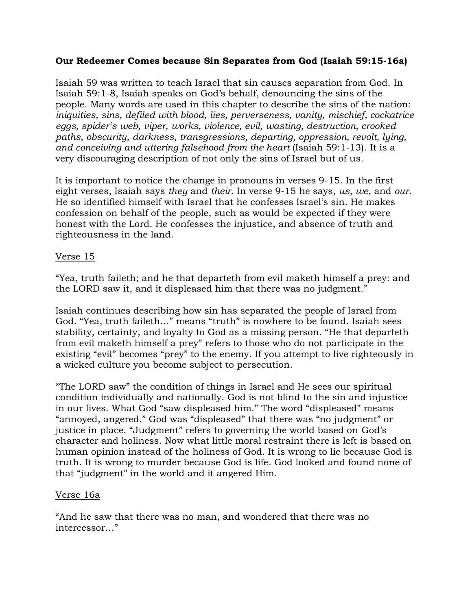#### **Our Redeemer Comes because Sin Separates from God (Isaiah 59:15-16a)**

Isaiah 59 was written to teach Israel that sin causes separation from God. In Isaiah 59:1-8, Isaiah speaks on God's behalf, denouncing the sins of the people. Many words are used in this chapter to describe the sins of the nation: *iniquities, sins, defiled with blood, lies, perverseness, vanity, mischief, cockatrice eggs, spider's web, viper, works, violence, evil, wasting, destruction, crooked paths, obscurity, darkness, transgressions, departing, oppression, revolt, lying, and conceiving and uttering falsehood from the heart* (Isaiah 59:1-13). It is a very discouraging description of not only the sins of Israel but of us.

It is important to notice the change in pronouns in verses 9-15. In the first eight verses, Isaiah says *they* and *their*. In verse 9-15 he says, *us, we*, and *our*. He so identified himself with Israel that he confesses Israel's sin. He makes confession on behalf of the people, such as would be expected if they were honest with the Lord. He confesses the injustice, and absence of truth and righteousness in the land.

#### Verse 15

"Yea, truth faileth; and he that departeth from evil maketh himself a prey: and the LORD saw it, and it displeased him that there was no judgment."

Isaiah continues describing how sin has separated the people of Israel from God. "Yea, truth faileth…" means "truth" is nowhere to be found. Isaiah sees stability, certainty, and loyalty to God as a missing person. "He that departeth from evil maketh himself a prey" refers to those who do not participate in the existing "evil" becomes "prey" to the enemy. If you attempt to live righteously in a wicked culture you become subject to persecution.

"The LORD saw" the condition of things in Israel and He sees our spiritual condition individually and nationally. God is not blind to the sin and injustice in our lives. What God "saw displeased him." The word "displeased" means "annoyed, angered." God was "displeased" that there was "no judgment" or justice in place. "Judgment" refers to governing the world based on God's character and holiness. Now what little moral restraint there is left is based on human opinion instead of the holiness of God. It is wrong to lie because God is truth. It is wrong to murder because God is life. God looked and found none of that "judgment" in the world and it angered Him.

## Verse 16a

"And he saw that there was no man, and wondered that there was no intercessor…"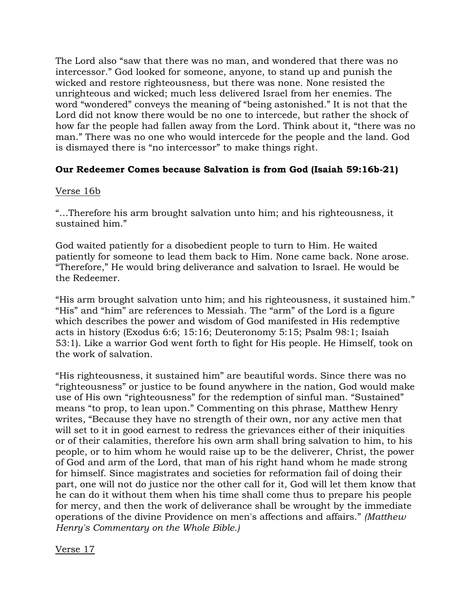The Lord also "saw that there was no man, and wondered that there was no intercessor." God looked for someone, anyone, to stand up and punish the wicked and restore righteousness, but there was none. None resisted the unrighteous and wicked; much less delivered Israel from her enemies. The word "wondered" conveys the meaning of "being astonished." It is not that the Lord did not know there would be no one to intercede, but rather the shock of how far the people had fallen away from the Lord. Think about it, "there was no man." There was no one who would intercede for the people and the land. God is dismayed there is "no intercessor" to make things right.

## **Our Redeemer Comes because Salvation is from God (Isaiah 59:16b-21)**

## Verse 16b

"…Therefore his arm brought salvation unto him; and his righteousness, it sustained him."

God waited patiently for a disobedient people to turn to Him. He waited patiently for someone to lead them back to Him. None came back. None arose. "Therefore," He would bring deliverance and salvation to Israel. He would be the Redeemer.

"His arm brought salvation unto him; and his righteousness, it sustained him." "His" and "him" are references to Messiah. The "arm" of the Lord is a figure which describes the power and wisdom of God manifested in His redemptive acts in history (Exodus 6:6; 15:16; Deuteronomy 5:15; Psalm 98:1; Isaiah 53:1). Like a warrior God went forth to fight for His people. He Himself, took on the work of salvation.

"His righteousness, it sustained him" are beautiful words. Since there was no "righteousness" or justice to be found anywhere in the nation, God would make use of His own "righteousness" for the redemption of sinful man. "Sustained" means "to prop, to lean upon." Commenting on this phrase, Matthew Henry writes, "Because they have no strength of their own, nor any active men that will set to it in good earnest to redress the grievances either of their iniquities or of their calamities, therefore his own arm shall bring salvation to him, to his people, or to him whom he would raise up to be the deliverer, Christ, the power of God and arm of the Lord, that man of his right hand whom he made strong for himself. Since magistrates and societies for reformation fail of doing their part, one will not do justice nor the other call for it, God will let them know that he can do it without them when his time shall come thus to prepare his people for mercy, and then the work of deliverance shall be wrought by the immediate operations of the divine Providence on men's affections and affairs." *(Matthew Henry's Commentary on the Whole Bible.)*

Verse 17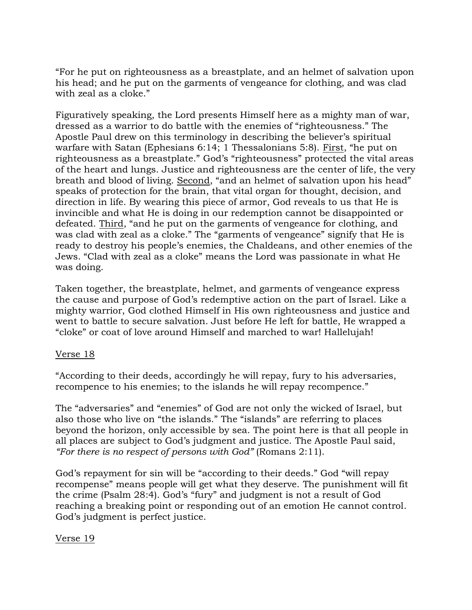"For he put on righteousness as a breastplate, and an helmet of salvation upon his head; and he put on the garments of vengeance for clothing, and was clad with zeal as a cloke."

Figuratively speaking, the Lord presents Himself here as a mighty man of war, dressed as a warrior to do battle with the enemies of "righteousness." The Apostle Paul drew on this terminology in describing the believer's spiritual warfare with Satan (Ephesians 6:14; 1 Thessalonians 5:8). First, "he put on righteousness as a breastplate." God's "righteousness" protected the vital areas of the heart and lungs. Justice and righteousness are the center of life, the very breath and blood of living. Second, "and an helmet of salvation upon his head" speaks of protection for the brain, that vital organ for thought, decision, and direction in life. By wearing this piece of armor, God reveals to us that He is invincible and what He is doing in our redemption cannot be disappointed or defeated. Third, "and he put on the garments of vengeance for clothing, and was clad with zeal as a cloke." The "garments of vengeance" signify that He is ready to destroy his people's enemies, the Chaldeans, and other enemies of the Jews. "Clad with zeal as a cloke" means the Lord was passionate in what He was doing.

Taken together, the breastplate, helmet, and garments of vengeance express the cause and purpose of God's redemptive action on the part of Israel. Like a mighty warrior, God clothed Himself in His own righteousness and justice and went to battle to secure salvation. Just before He left for battle, He wrapped a "cloke" or coat of love around Himself and marched to war! Hallelujah!

#### Verse 18

"According to their deeds, accordingly he will repay, fury to his adversaries, recompence to his enemies; to the islands he will repay recompence."

The "adversaries" and "enemies" of God are not only the wicked of Israel, but also those who live on "the islands." The "islands" are referring to places beyond the horizon, only accessible by sea. The point here is that all people in all places are subject to God's judgment and justice. The Apostle Paul said, *"For there is no respect of persons with God"* (Romans 2:11).

God's repayment for sin will be "according to their deeds." God "will repay recompense" means people will get what they deserve. The punishment will fit the crime (Psalm 28:4). God's "fury" and judgment is not a result of God reaching a breaking point or responding out of an emotion He cannot control. God's judgment is perfect justice.

#### Verse 19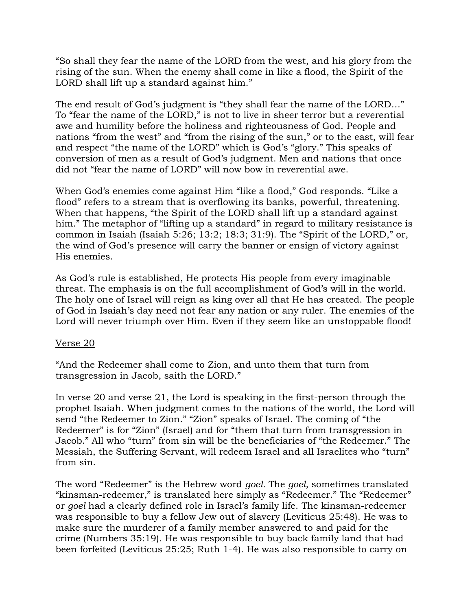"So shall they fear the name of the LORD from the west, and his glory from the rising of the sun. When the enemy shall come in like a flood, the Spirit of the LORD shall lift up a standard against him."

The end result of God's judgment is "they shall fear the name of the LORD…" To "fear the name of the LORD," is not to live in sheer terror but a reverential awe and humility before the holiness and righteousness of God. People and nations "from the west" and "from the rising of the sun," or to the east, will fear and respect "the name of the LORD" which is God's "glory." This speaks of conversion of men as a result of God's judgment. Men and nations that once did not "fear the name of LORD" will now bow in reverential awe.

When God's enemies come against Him "like a flood," God responds. "Like a flood" refers to a stream that is overflowing its banks, powerful, threatening. When that happens, "the Spirit of the LORD shall lift up a standard against him." The metaphor of "lifting up a standard" in regard to military resistance is common in Isaiah (Isaiah 5:26; 13:2; 18:3; 31:9). The "Spirit of the LORD," or, the wind of God's presence will carry the banner or ensign of victory against His enemies.

As God's rule is established, He protects His people from every imaginable threat. The emphasis is on the full accomplishment of God's will in the world. The holy one of Israel will reign as king over all that He has created. The people of God in Isaiah's day need not fear any nation or any ruler. The enemies of the Lord will never triumph over Him. Even if they seem like an unstoppable flood!

## Verse 20

"And the Redeemer shall come to Zion, and unto them that turn from transgression in Jacob, saith the LORD."

In verse 20 and verse 21, the Lord is speaking in the first-person through the prophet Isaiah. When judgment comes to the nations of the world, the Lord will send "the Redeemer to Zion." "Zion" speaks of Israel. The coming of "the Redeemer" is for "Zion" (Israel) and for "them that turn from transgression in Jacob." All who "turn" from sin will be the beneficiaries of "the Redeemer." The Messiah, the Suffering Servant, will redeem Israel and all Israelites who "turn" from sin.

The word "Redeemer" is the Hebrew word *goel.* The *goel,* sometimes translated "kinsman-redeemer," is translated here simply as "Redeemer." The "Redeemer" or *goel* had a clearly defined role in Israel's family life. The kinsman-redeemer was responsible to buy a fellow Jew out of slavery (Leviticus 25:48). He was to make sure the murderer of a family member answered to and paid for the crime (Numbers 35:19). He was responsible to buy back family land that had been forfeited (Leviticus 25:25; Ruth 1-4). He was also responsible to carry on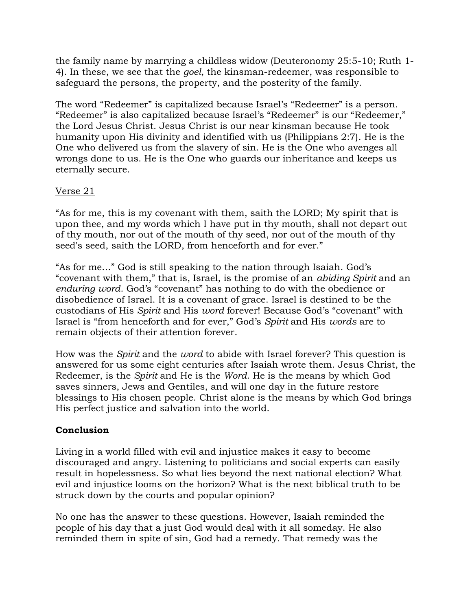the family name by marrying a childless widow (Deuteronomy 25:5-10; Ruth 1- 4). In these, we see that the *goel*, the kinsman-redeemer, was responsible to safeguard the persons, the property, and the posterity of the family.

The word "Redeemer" is capitalized because Israel's "Redeemer" is a person. "Redeemer" is also capitalized because Israel's "Redeemer" is our "Redeemer," the Lord Jesus Christ. Jesus Christ is our near kinsman because He took humanity upon His divinity and identified with us (Philippians 2:7). He is the One who delivered us from the slavery of sin. He is the One who avenges all wrongs done to us. He is the One who guards our inheritance and keeps us eternally secure.

## Verse 21

"As for me, this is my covenant with them, saith the LORD; My spirit that is upon thee, and my words which I have put in thy mouth, shall not depart out of thy mouth, nor out of the mouth of thy seed, nor out of the mouth of thy seed's seed, saith the LORD, from henceforth and for ever."

"As for me…" God is still speaking to the nation through Isaiah. God's "covenant with them," that is, Israel, is the promise of an *abiding Spirit* and an *enduring word*. God's "covenant" has nothing to do with the obedience or disobedience of Israel. It is a covenant of grace. Israel is destined to be the custodians of His *Spirit* and His *word* forever! Because God's "covenant" with Israel is "from henceforth and for ever," God's *Spirit* and His *words* are to remain objects of their attention forever.

How was the *Spirit* and the *word* to abide with Israel forever? This question is answered for us some eight centuries after Isaiah wrote them. Jesus Christ, the Redeemer, is the *Spirit* and He is the *Word*. He is the means by which God saves sinners, Jews and Gentiles, and will one day in the future restore blessings to His chosen people. Christ alone is the means by which God brings His perfect justice and salvation into the world.

# **Conclusion**

Living in a world filled with evil and injustice makes it easy to become discouraged and angry. Listening to politicians and social experts can easily result in hopelessness. So what lies beyond the next national election? What evil and injustice looms on the horizon? What is the next biblical truth to be struck down by the courts and popular opinion?

No one has the answer to these questions. However, Isaiah reminded the people of his day that a just God would deal with it all someday. He also reminded them in spite of sin, God had a remedy. That remedy was the